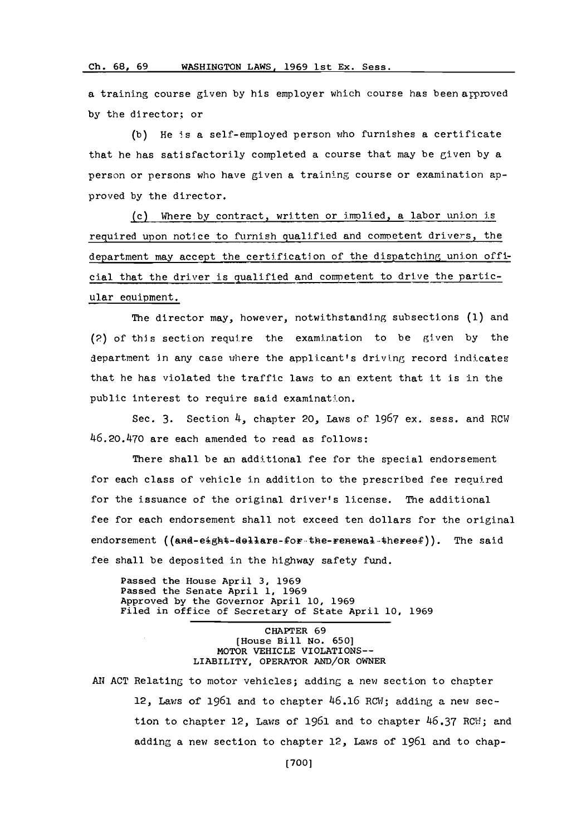## **Ch. 6 8,** WAHINGON AWS.19691stEx. ess **Ch. 68, 69** WASHINGTON LAWS **1969** lst Ex. Sess.

a training course given by his employer which course has been arproved **by** the director: or

**(b)** He is a self-employed person who furnishes a certificate that he has satisfactorily completed a course that may be given **by** a person or persons who have given a training course or examination approved **by** the director.

()Where **by** contract, written or imolied, a labor union is required upon notice to furnish qualified and comnetent drivers, the department may accept the certification of the dispatching union official that the driver is qualified and competent to drive the particular equipment.

The director may, however, notwithstanding subsections **(1)** and (2) of this section require the examination to be given **by** the department In any case where the applicant's driving record indicates that he has violated the traffic laws to an extent that it is in the public interest to require said examination.

Sec. **3.** Section 4, chapter 20, Laws of **1967** ex. sess. and ROW 46.20.470 are each amended to read as follows:

There shall be an additional fee for the special endorsement for each class of vehicle in addition to the prescribed fee required for the issuance of the original driver's license. The additional fee for each endorsement shall not exceed ten dollars for the original endorsement ((and-eight-dellare-for-the-renewal-thereef)). The said fee shall be deposited in the highway safety fund.

Passed the House April **3, 1969** Passed the Senate April **1, 1969** Approved **by** the Governor April **10, 1969** riled im office of Secretary of State April **10, 1969**

> CHAPTER **69** [House Bill **No. 650]** MOTOR VEHICLE VIOLATIONS-- **LIABILITY, OPERATOR AN/OR OWNER**

AN ACT Relating to motor vehicles; adding a new section to chapter 12, Laws of 1961 and to chapter 46.16 RCW; adding a new section to chapter 12, Lawis of **1961** and to chapter **46.37** ROW-; and adding a new section to chapter 12, Laws of 1961 and to chap